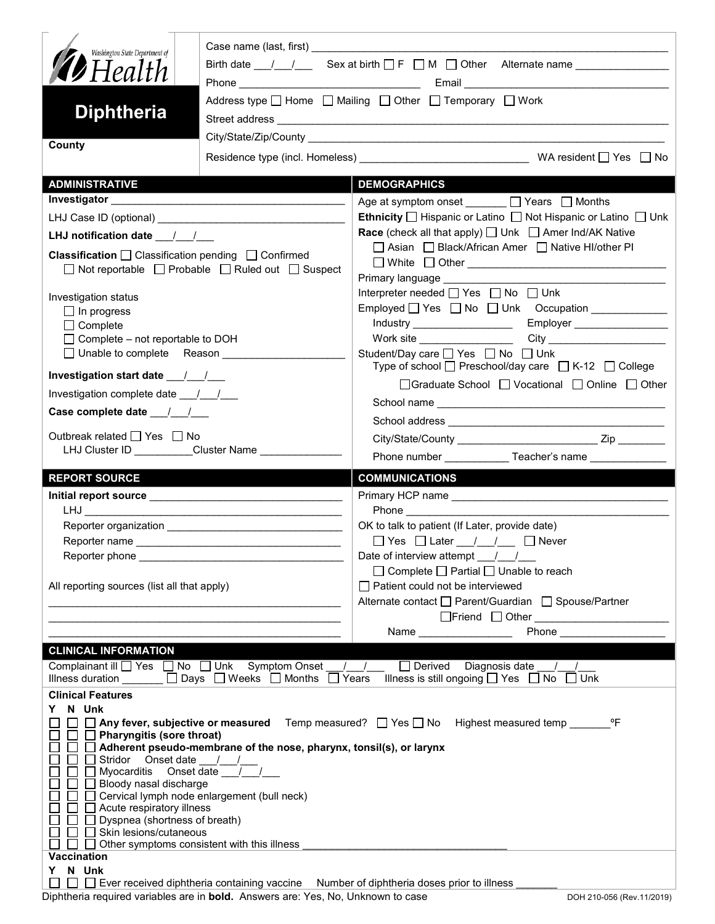| Washington State Department of                                                                                                                                                                                                 |                                                                                           | Birth date $\frac{1}{\sqrt{2}}$ Sex at birth $\Box$ F $\Box$ M $\Box$ Other Alternate name $\Box$                                                                                                                                       |  |  |
|--------------------------------------------------------------------------------------------------------------------------------------------------------------------------------------------------------------------------------|-------------------------------------------------------------------------------------------|-----------------------------------------------------------------------------------------------------------------------------------------------------------------------------------------------------------------------------------------|--|--|
| <b><i>DHealth</i></b>                                                                                                                                                                                                          |                                                                                           |                                                                                                                                                                                                                                         |  |  |
| <b>Diphtheria</b>                                                                                                                                                                                                              |                                                                                           | Address type □ Home □ Mailing □ Other □ Temporary □ Work                                                                                                                                                                                |  |  |
|                                                                                                                                                                                                                                |                                                                                           |                                                                                                                                                                                                                                         |  |  |
| County                                                                                                                                                                                                                         |                                                                                           |                                                                                                                                                                                                                                         |  |  |
| <b>ADMINISTRATIVE</b>                                                                                                                                                                                                          |                                                                                           | <b>DEMOGRAPHICS</b>                                                                                                                                                                                                                     |  |  |
|                                                                                                                                                                                                                                |                                                                                           | Age at symptom onset ______ □ Years □ Months                                                                                                                                                                                            |  |  |
|                                                                                                                                                                                                                                |                                                                                           | <b>Ethnicity</b> $\Box$ Hispanic or Latino $\Box$ Not Hispanic or Latino $\Box$ Unk                                                                                                                                                     |  |  |
| LHJ notification date $\frac{1}{2}$                                                                                                                                                                                            |                                                                                           | <b>Race</b> (check all that apply) $\Box$ Unk $\Box$ Amer Ind/AK Native                                                                                                                                                                 |  |  |
| <b>Classification</b> $\Box$ Classification pending $\Box$ Confirmed                                                                                                                                                           |                                                                                           | □ Asian □ Black/African Amer □ Native HI/other PI                                                                                                                                                                                       |  |  |
|                                                                                                                                                                                                                                | $\Box$ Not reportable $\Box$ Probable $\Box$ Ruled out $\Box$ Suspect                     | □ White □ Other <u>___________________________________</u>                                                                                                                                                                              |  |  |
|                                                                                                                                                                                                                                |                                                                                           | Primary language Manuscriptus and District Control of Primary 1<br>Interpreter needed □ Yes □ No □ Unk                                                                                                                                  |  |  |
| Investigation status<br>$\Box$ In progress                                                                                                                                                                                     |                                                                                           |                                                                                                                                                                                                                                         |  |  |
| $\Box$ Complete                                                                                                                                                                                                                |                                                                                           |                                                                                                                                                                                                                                         |  |  |
| $\Box$ Complete – not reportable to DOH                                                                                                                                                                                        |                                                                                           |                                                                                                                                                                                                                                         |  |  |
| □ Unable to complete Reason _______________                                                                                                                                                                                    |                                                                                           | Student/Day care <u>Sine Student</u> /Day on Bossey on Bunk<br>Type of school $\Box$ Preschool/day care $\Box$ K-12 $\Box$ College                                                                                                      |  |  |
| Investigation start date 11/1                                                                                                                                                                                                  |                                                                                           | □Graduate School □ Vocational □ Online □ Other                                                                                                                                                                                          |  |  |
| Investigation complete date ___/___/___                                                                                                                                                                                        |                                                                                           |                                                                                                                                                                                                                                         |  |  |
|                                                                                                                                                                                                                                |                                                                                           |                                                                                                                                                                                                                                         |  |  |
| Outbreak related $\Box$ Yes $\Box$ No                                                                                                                                                                                          |                                                                                           |                                                                                                                                                                                                                                         |  |  |
|                                                                                                                                                                                                                                | LHJ Cluster ID __________Cluster Name ____________                                        | Phone number ______________Teacher's name ________________                                                                                                                                                                              |  |  |
|                                                                                                                                                                                                                                |                                                                                           |                                                                                                                                                                                                                                         |  |  |
| <b>REPORT SOURCE</b>                                                                                                                                                                                                           |                                                                                           | <b>COMMUNICATIONS</b>                                                                                                                                                                                                                   |  |  |
|                                                                                                                                                                                                                                |                                                                                           |                                                                                                                                                                                                                                         |  |  |
|                                                                                                                                                                                                                                |                                                                                           | <b>Phone Contract Contract Contract Contract Contract Contract Contract Contract Contract Contract Contract Contract Contract Contract Contract Contract Contract Contract Contract Contract Contract Contract Contract Contra</b>      |  |  |
|                                                                                                                                                                                                                                |                                                                                           | OK to talk to patient (If Later, provide date)                                                                                                                                                                                          |  |  |
|                                                                                                                                                                                                                                |                                                                                           |                                                                                                                                                                                                                                         |  |  |
| Reporter phone and the state of the state of the state of the state of the state of the state of the state of the state of the state of the state of the state of the state of the state of the state of the state of the stat |                                                                                           | Date of interview attempt / /                                                                                                                                                                                                           |  |  |
| All reporting sources (list all that apply)                                                                                                                                                                                    |                                                                                           | $\Box$ Complete $\Box$ Partial $\Box$ Unable to reach<br>$\Box$ Patient could not be interviewed                                                                                                                                        |  |  |
|                                                                                                                                                                                                                                | the control of the control of the control of the control of the control of the control of | Alternate contact □ Parent/Guardian □ Spouse/Partner                                                                                                                                                                                    |  |  |
|                                                                                                                                                                                                                                |                                                                                           |                                                                                                                                                                                                                                         |  |  |
|                                                                                                                                                                                                                                |                                                                                           | Phone<br>Name and the state of the state of the state of the state of the state of the state of the state of the state of the state of the state of the state of the state of the state of the state of the state of the state of the s |  |  |
| <b>CLINICAL INFORMATION</b>                                                                                                                                                                                                    |                                                                                           |                                                                                                                                                                                                                                         |  |  |
|                                                                                                                                                                                                                                | Complainant ill $\Box$ Yes $\Box$ No $\Box$ Unk Symptom Onset $\Box$                      | Derived Diagnosis date //<br>Illness duration $\Box$ Days $\Box$ Weeks $\Box$ Months $\Box$ Years Illness is still ongoing $\Box$ Yes $\Box$ No $\Box$ Unk                                                                              |  |  |
| <b>Clinical Features</b>                                                                                                                                                                                                       |                                                                                           |                                                                                                                                                                                                                                         |  |  |
| N Unk                                                                                                                                                                                                                          |                                                                                           |                                                                                                                                                                                                                                         |  |  |
| $\Box$ Pharyngitis (sore throat)                                                                                                                                                                                               |                                                                                           | □ Any fever, subjective or measured Temp measured? □ Yes □ No Highest measured temp ________ °F                                                                                                                                         |  |  |
|                                                                                                                                                                                                                                | $\Box$ Adherent pseudo-membrane of the nose, pharynx, tonsil(s), or larynx                |                                                                                                                                                                                                                                         |  |  |
| Stridor Onset date __/__/__<br>$\Box$ Myocarditis Onset date $\boxed{\phantom{1}}$                                                                                                                                             |                                                                                           |                                                                                                                                                                                                                                         |  |  |
| $\Box$ Bloody nasal discharge                                                                                                                                                                                                  |                                                                                           |                                                                                                                                                                                                                                         |  |  |
|                                                                                                                                                                                                                                | □ Cervical lymph node enlargement (bull neck)                                             |                                                                                                                                                                                                                                         |  |  |
| $\Box$ Acute respiratory illness<br>$\Box$ Dyspnea (shortness of breath)                                                                                                                                                       |                                                                                           |                                                                                                                                                                                                                                         |  |  |
| Skin lesions/cutaneous                                                                                                                                                                                                         |                                                                                           |                                                                                                                                                                                                                                         |  |  |
| <b>Vaccination</b>                                                                                                                                                                                                             | Other symptoms consistent with this illness                                               |                                                                                                                                                                                                                                         |  |  |
| N Unk<br>$\Box$ Ever received diphtheria containing vaccine                                                                                                                                                                    |                                                                                           | Number of diphtheria doses prior to illness                                                                                                                                                                                             |  |  |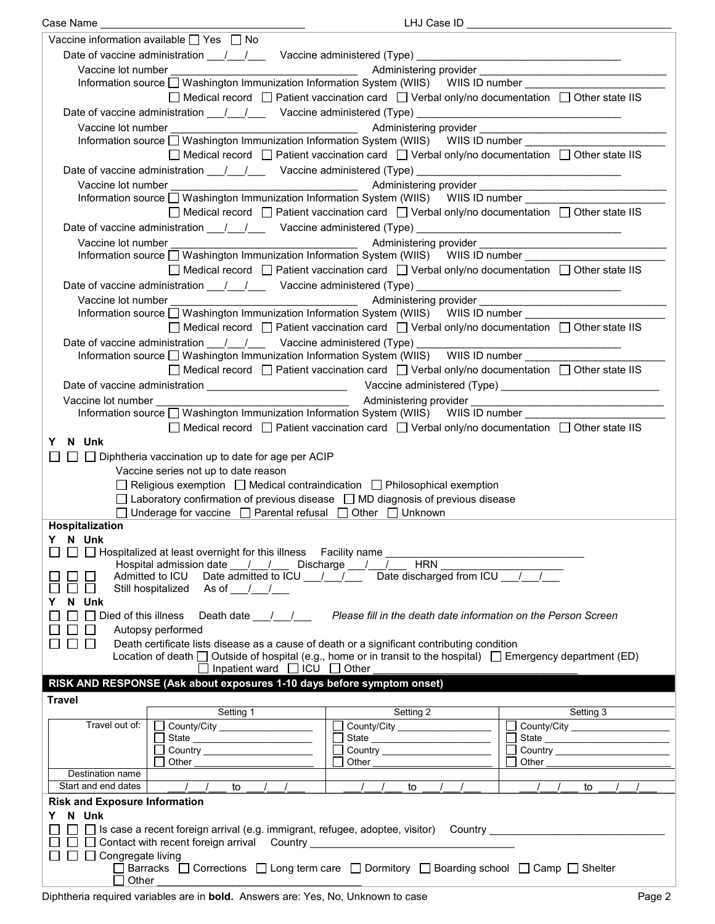| LHJ Case ID _<br>Case Name _                                                                                                                                                                                                               |  |  |  |  |
|--------------------------------------------------------------------------------------------------------------------------------------------------------------------------------------------------------------------------------------------|--|--|--|--|
| Vaccine information available $\Box$ Yes $\Box$ No                                                                                                                                                                                         |  |  |  |  |
| Date of vaccine administration ___/ ___/ ___ Vaccine administered (Type) _________________________________                                                                                                                                 |  |  |  |  |
| Vaccine lot number                                                                                                                                                                                                                         |  |  |  |  |
| Information source [ Washington Immunization Information System (WIIS) WIIS ID number __________                                                                                                                                           |  |  |  |  |
| $\Box$ Medical record $\Box$ Patient vaccination card $\Box$ Verbal only/no documentation $\Box$ Other state IIS                                                                                                                           |  |  |  |  |
| Date of vaccine administration 11/2000 Vaccine administered (Type) 2008. [2010]                                                                                                                                                            |  |  |  |  |
| Vaccine lot number<br><u> 1990 - Johann Barbara, martin a</u>                                                                                                                                                                              |  |  |  |  |
|                                                                                                                                                                                                                                            |  |  |  |  |
| $\Box$ Medical record $\Box$ Patient vaccination card $\Box$ Verbal only/no documentation $\Box$ Other state IIS                                                                                                                           |  |  |  |  |
|                                                                                                                                                                                                                                            |  |  |  |  |
|                                                                                                                                                                                                                                            |  |  |  |  |
| Administering provider<br>Management Administering provider<br>Management Administering provider<br>Management Administering provider<br>Management Administering provider<br>Management Administering provider<br>Management Administerin |  |  |  |  |
| Information source □ Washington Immunization Information System (WIIS) WIIS ID number _____________                                                                                                                                        |  |  |  |  |
| $\Box$ Medical record $\Box$ Patient vaccination card $\Box$ Verbal only/no documentation $\Box$ Other state IIS                                                                                                                           |  |  |  |  |
| Date of vaccine administration 11/2000 Vaccine administered (Type) 2008. [2010]                                                                                                                                                            |  |  |  |  |
| Vaccine lot number<br><u> 1989 - Johann Barn, mars ann an t-Amhain an t-Amhain an t-Amhain an t-Amhain an t-Amhain an t-Amhain an t-A</u>                                                                                                  |  |  |  |  |
| Information source □ Washington Immunization Information System (WIIS) WIIS ID number                                                                                                                                                      |  |  |  |  |
| $\Box$ Medical record $\Box$ Patient vaccination card $\Box$ Verbal only/no documentation $\Box$ Other state IIS                                                                                                                           |  |  |  |  |
|                                                                                                                                                                                                                                            |  |  |  |  |
| Vaccine lot number<br>Administering provider ____                                                                                                                                                                                          |  |  |  |  |
| Information source □ Washington Immunization Information System (WIIS) WIIS ID number                                                                                                                                                      |  |  |  |  |
| $\Box$ Medical record $\Box$ Patient vaccination card $\Box$ Verbal only/no documentation $\Box$ Other state IIS                                                                                                                           |  |  |  |  |
|                                                                                                                                                                                                                                            |  |  |  |  |
| Information source [ Washington Immunization Information System (WIIS) WIIS ID number [ [ [ [ [ [ ] ]                                                                                                                                      |  |  |  |  |
| □ Medical record □ Patient vaccination card □ Verbal only/no documentation □ Other state IIS                                                                                                                                               |  |  |  |  |
|                                                                                                                                                                                                                                            |  |  |  |  |
| Vaccine lot number <b>Accine and Accine</b>                                                                                                                                                                                                |  |  |  |  |
| Information source □ Washington Immunization Information System (WIIS) WIIS ID number _____________                                                                                                                                        |  |  |  |  |
| $\Box$ Medical record $\Box$ Patient vaccination card $\Box$ Verbal only/no documentation $\Box$ Other state IIS                                                                                                                           |  |  |  |  |
| Y N Unk                                                                                                                                                                                                                                    |  |  |  |  |
| $\Box$ Diphtheria vaccination up to date for age per ACIP                                                                                                                                                                                  |  |  |  |  |
| Vaccine series not up to date reason                                                                                                                                                                                                       |  |  |  |  |
| $\Box$ Religious exemption $\Box$ Medical contraindication $\Box$ Philosophical exemption                                                                                                                                                  |  |  |  |  |
|                                                                                                                                                                                                                                            |  |  |  |  |
| $\Box$ Laboratory confirmation of previous disease $\Box$ MD diagnosis of previous disease                                                                                                                                                 |  |  |  |  |
| □ Underage for vaccine □ Parental refusal □ Other □ Unknown                                                                                                                                                                                |  |  |  |  |
| Hospitalization<br>Y N Unk                                                                                                                                                                                                                 |  |  |  |  |
| □ □ Hospitalized at least overnight for this illness Facility name _                                                                                                                                                                       |  |  |  |  |
| Hospital admission date 1 1 Discharge 1 1 HRN                                                                                                                                                                                              |  |  |  |  |
| Admitted to ICU Date admitted to ICU $\frac{1}{\sqrt{1-\frac{1}{2}}}$ Date discharged from ICU $\frac{1}{\sqrt{1-\frac{1}{2}}}$                                                                                                            |  |  |  |  |
| Still hospitalized As of //<br>$\mathsf{L}$                                                                                                                                                                                                |  |  |  |  |
| N Unk                                                                                                                                                                                                                                      |  |  |  |  |
| $\Box$ Died of this illness<br>Please fill in the death date information on the Person Screen<br>Death date $\frac{1}{\sqrt{2}}$                                                                                                           |  |  |  |  |
| Autopsy performed                                                                                                                                                                                                                          |  |  |  |  |
| Death certificate lists disease as a cause of death or a significant contributing condition<br>$\blacksquare$<br>$\mathsf{L}$                                                                                                              |  |  |  |  |
| Location of death $\Box$ Outside of hospital (e.g., home or in transit to the hospital) $\Box$ Emergency department (ED)                                                                                                                   |  |  |  |  |
| $\Box$ Inpatient ward $\Box$ ICU $\Box$ Other                                                                                                                                                                                              |  |  |  |  |
| RISK AND RESPONSE (Ask about exposures 1-10 days before symptom onset)                                                                                                                                                                     |  |  |  |  |
| <b>Travel</b>                                                                                                                                                                                                                              |  |  |  |  |
| Setting 1<br>Setting 2<br>Setting 3                                                                                                                                                                                                        |  |  |  |  |
| Travel out of:<br>County/City ___________________<br>County/City __________________<br>County/City _____________________                                                                                                                   |  |  |  |  |
| □ State <u>_______________________</u><br>State                                                                                                                                                                                            |  |  |  |  |
| $\Box$                                                                                                                                                                                                                                     |  |  |  |  |
| Other<br>Other<br>Other                                                                                                                                                                                                                    |  |  |  |  |
| Destination name                                                                                                                                                                                                                           |  |  |  |  |
| Start and end dates<br>$\frac{1}{2}$<br>$\frac{1}{2}$<br>$\sqrt{1}$<br>to<br>to<br>to                                                                                                                                                      |  |  |  |  |
| <b>Risk and Exposure Information</b>                                                                                                                                                                                                       |  |  |  |  |
| N Unk<br>Y.                                                                                                                                                                                                                                |  |  |  |  |
| □ □ Is case a recent foreign arrival (e.g. immigrant, refugee, adoptee, visitor)  Country ____________________                                                                                                                             |  |  |  |  |
| □ □ Contact with recent foreign arrival Country ________________________________                                                                                                                                                           |  |  |  |  |
| $\Box$ $\Box$ $\Box$ Congregate living                                                                                                                                                                                                     |  |  |  |  |
|                                                                                                                                                                                                                                            |  |  |  |  |
| □ Barracks □ Corrections □ Long term care □ Dormitory □ Boarding school □ Camp □ Shelter<br>$\Box$ Other                                                                                                                                   |  |  |  |  |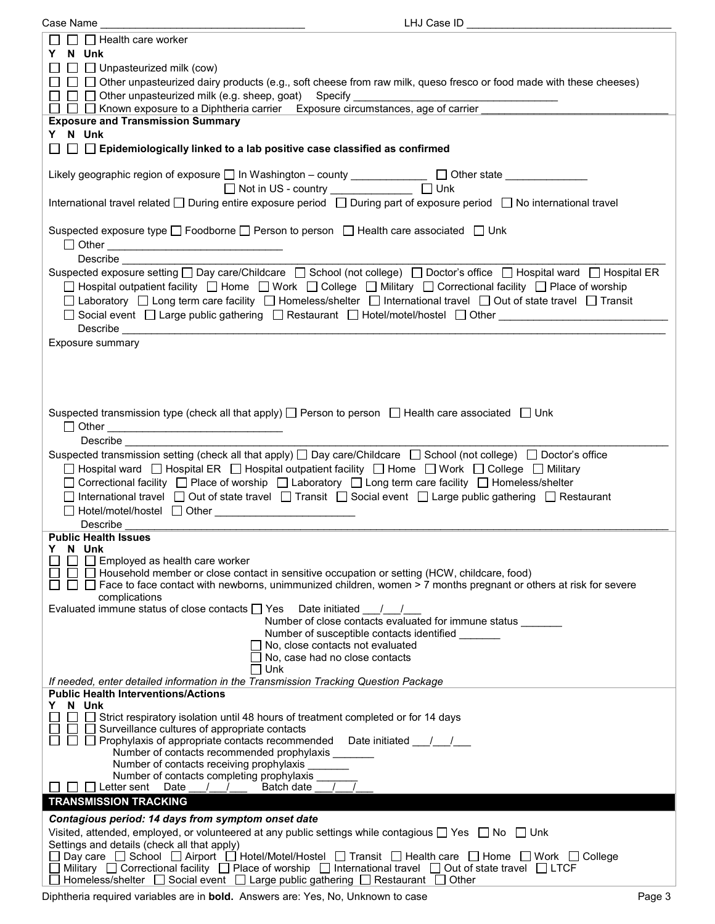| LHJ Case ID<br>Case Name                                                                                                                        |  |
|-------------------------------------------------------------------------------------------------------------------------------------------------|--|
| $\Box$ Health care worker                                                                                                                       |  |
| Y N Unk                                                                                                                                         |  |
|                                                                                                                                                 |  |
| $\Box$ Unpasteurized milk (cow)                                                                                                                 |  |
| □ □ Other unpasteurized dairy products (e.g., soft cheese from raw milk, queso fresco or food made with these cheeses)                          |  |
| □ □ Other unpasteurized milk (e.g. sheep, goat) Specify                                                                                         |  |
| □ □ Known exposure to a Diphtheria carrier Exposure circumstances, age of carrier<br>$\Box$                                                     |  |
| <b>Exposure and Transmission Summary</b>                                                                                                        |  |
| Y N Unk                                                                                                                                         |  |
| $\Box~\Box~\Box$ Epidemiologically linked to a lab positive case classified as confirmed                                                        |  |
|                                                                                                                                                 |  |
| Likely geographic region of exposure □ In Washington - county _____________ □ Other state __________                                            |  |
| □ Not in US - country _______________ □ Unk                                                                                                     |  |
| International travel related □ During entire exposure period □ During part of exposure period □ No international travel                         |  |
|                                                                                                                                                 |  |
|                                                                                                                                                 |  |
| Suspected exposure type □ Foodborne □ Person to person □ Health care associated □ Unk                                                           |  |
| □ Other <u>________________________________</u>                                                                                                 |  |
| Describe                                                                                                                                        |  |
| Suspected exposure setting □ Day care/Childcare □ School (not college) □ Doctor's office □ Hospital ward □ Hospital ER                          |  |
| □ Hospital outpatient facility □ Home □ Work □ College □ Military □ Correctional facility □ Place of worship                                    |  |
| □ Laboratory □ Long term care facility □ Homeless/shelter □ International travel □ Out of state travel □ Transit                                |  |
| □ Social event □ Large public gathering □ Restaurant □ Hotel/motel/hostel □ Other _______________________                                       |  |
| Describe                                                                                                                                        |  |
| <u> 1989 - Johann Barn, mars ann an t-Amhraid ann an t-Amhraid ann an t-Amhraid ann an t-Amhraid ann an t-Amhraid </u>                          |  |
| Exposure summary                                                                                                                                |  |
|                                                                                                                                                 |  |
|                                                                                                                                                 |  |
|                                                                                                                                                 |  |
|                                                                                                                                                 |  |
| Suspected transmission type (check all that apply) $\Box$ Person to person $\Box$ Health care associated $\Box$ Unk                             |  |
|                                                                                                                                                 |  |
| Describe                                                                                                                                        |  |
| Suspected transmission setting (check all that apply) $\Box$ Day care/Childcare $\Box$ School (not college) $\Box$ Doctor's office              |  |
|                                                                                                                                                 |  |
| □ Hospital ward □ Hospital ER □ Hospital outpatient facility □ Home □ Work □ College □ Military                                                 |  |
| □ Correctional facility □ Place of worship □ Laboratory □ Long term care facility □ Homeless/shelter                                            |  |
| □ International travel □ Out of state travel □ Transit □ Social event □ Large public gathering □ Restaurant                                     |  |
|                                                                                                                                                 |  |
| Describe                                                                                                                                        |  |
| <b>Public Health Issues</b>                                                                                                                     |  |
| N Unk<br>Y.                                                                                                                                     |  |
| Employed as health care worker                                                                                                                  |  |
| $\Box$ Household member or close contact in sensitive occupation or setting (HCW, childcare, food)                                              |  |
| $\Box$ Face to face contact with newborns, unimmunized children, women > 7 months pregnant or others at risk for severe                         |  |
| complications                                                                                                                                   |  |
| Evaluated immune status of close contacts $\Box$ Yes Date initiated $\Box$                                                                      |  |
| Number of close contacts evaluated for immune status _______                                                                                    |  |
| Number of susceptible contacts identified                                                                                                       |  |
| $\Box$ No, close contacts not evaluated                                                                                                         |  |
| No, case had no close contacts                                                                                                                  |  |
| ∐ Unk                                                                                                                                           |  |
| If needed, enter detailed information in the Transmission Tracking Question Package                                                             |  |
| <b>Public Health Interventions/Actions</b><br>N Unk<br>Y.                                                                                       |  |
| □ Strict respiratory isolation until 48 hours of treatment completed or for 14 days                                                             |  |
| Surveillance cultures of appropriate contacts                                                                                                   |  |
| $\Box$ Prophylaxis of appropriate contacts recommended Date initiated $\Box$                                                                    |  |
| Number of contacts recommended prophylaxis ___                                                                                                  |  |
| Number of contacts receiving prophylaxis                                                                                                        |  |
| Number of contacts completing prophylaxis                                                                                                       |  |
| Letter sent Date<br>Batch date<br>$\frac{1}{2}$<br>$\frac{1}{2}$                                                                                |  |
| <b>TRANSMISSION TRACKING</b>                                                                                                                    |  |
| Contagious period: 14 days from symptom onset date                                                                                              |  |
|                                                                                                                                                 |  |
| Visited, attended, employed, or volunteered at any public settings while contagious □ Yes □ No □ Unk                                            |  |
| Settings and details (check all that apply)<br>Day care □ School □ Airport □ Hotel/Motel/Hostel □ Transit □ Health care □ Home □ Work □ College |  |
| Military $\Box$ Correctional facility $\Box$ Place of worship $\Box$ International travel $\Box$ Out of state travel $\Box$ LTCF                |  |
| Homeless/shelter $\Box$ Social event $\Box$ Large public gathering $\Box$ Restaurant $\Box$ Other                                               |  |
|                                                                                                                                                 |  |